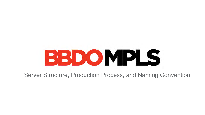

### Server Structure, Production Process, and Naming Convention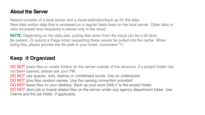### **About the Server**

Nasuni consists of a local server and a cloud extension/back up for the data. New data and/or data that is accessed on a regular basis lives on the local server. Older data or data accessed less frequently is stored only in the cloud.

DO NOT place files or create folders on the server outside of the structure. If a project folder has not been opened, please ask your PM.

DO NOT use spaces, dots, dashes or condensed words. Use an underscore. DO NOT give files random names. Use the naming convention provided DO NOT leave files on your desktop. Back up your work DAILY to the project folder. DO NOT store job or brand related files on the server under any agency department folder. Use Clients and the job folder, if applicable.

- 
- 

- 
- 
- 

**NOTE:** Depending on the data size, pulling files down from the cloud can be a bit slow. Be patient. Or submit a Paige ticket requesting these assets be pulled into the cache. When doing this, please provide the file path in your ticket. (command "i")

### **Keep it Organized**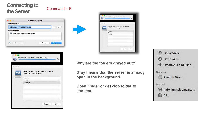- **Why are the folders grayed out?**
- **Gray means that the server is already open in the background.**
- **Open Finder or desktop folder to**



### **Connecting to**  the Server<br>
the Server

|                            |                            | <b>Connect to Server</b> |                         |
|----------------------------|----------------------------|--------------------------|-------------------------|
| <b>Server Address:</b>     |                            |                          |                         |
| smb://npf01mn.addomain.org |                            |                          | $^{+}$<br>$\rightarrow$ |
| <b>Favorite Servers:</b>   |                            |                          |                         |
| đít                        | smb://npf01mn.addomain.org |                          |                         |
|                            |                            |                          |                         |
|                            |                            |                          |                         |
| Remove<br>?                |                            | <b>Browse</b>            | Connect                 |
|                            |                            |                          |                         |



|                         | Select the volumes you want to mount on |  |
|-------------------------|-----------------------------------------|--|
| "npf01mn.addomain.org": |                                         |  |
| Agenc,                  |                                         |  |
| Clients                 |                                         |  |
| userdata                |                                         |  |
|                         |                                         |  |
|                         |                                         |  |
|                         |                                         |  |
|                         |                                         |  |
|                         |                                         |  |
|                         |                                         |  |
|                         |                                         |  |
|                         |                                         |  |

**connect.**

| 'MΠ | Select the volumes you want to mount on<br>"npf01mn.addomain.org": |
|-----|--------------------------------------------------------------------|
|     | Agency                                                             |
|     | <b>Clients</b>                                                     |
|     | userdata                                                           |
|     |                                                                    |
|     |                                                                    |
|     |                                                                    |
|     |                                                                    |
|     |                                                                    |
|     |                                                                    |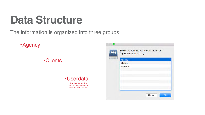### The information is organized into three groups:

•Agency

## **Data Structure**

### •Clients

### •Userdata

o Admin's folder that stores any computer backup files created.

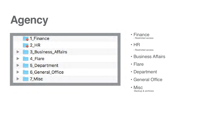# **Agency**





- Finance - Restricted access
- HR
	- Restricted access
- Business Affairs
- Flare
- Department
- General Office
- Misc -Backup & archives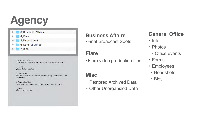# **Agency**

- 3\_Business\_Affairs Þ. 4 Flare Þ 5\_Department Þ 6\_General\_Office Þ
	- 7 Misc ×

3\_Business\_Affairs: Contracts, Final spots and other Broadcasts materials

4\_Flare: Video Editor's folder

5\_Department: Various department folders, on-boarding documents and old server

6\_General Office: Employee headshots and BBDO mpls Event Pictures

7\_Misc: **Restored Archives** 

### **Business Affairs** •Final Broadcast Spots

## **Flare**

•Flare video production files

### **General Office**

- Info
- Photos
	- ‣ Office events
- Forms
- Employees
- ‣ Headshots
- ‣ Bios

### **Misc**

- Restored Archived Data • Other Unorganized Data
-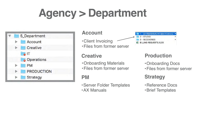# **Agency > Department**



### **Account**

- 
- 

•Client Invoicing •Files from former server



### **Creative**

- •Onboarding Materials •Files from former server
- 

### **PM**

- 
- •Server Folder Templates •AX Manuals



### **Production**

- •Onboarding Docs
- •Files from former server

### **Strategy**

- •Reference Docs
- •Brief Templates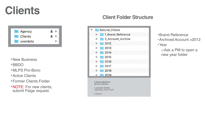## **Clients**

| Agency   |  |
|----------|--|
| Clients  |  |
| userdata |  |

- •New Business
- •BBDO
- •MLPS Pro-Bono
- •Active Clients
- •Former Clients Folder
- •NOTE: For new clients, submit Paige request.



### **Client Folder Structure**

| Natural_Choice    |  |
|-------------------|--|
| 1_Brand_Reference |  |
| 2_Account_Archive |  |
| 2012              |  |
| 2013              |  |
| 2014              |  |
| 2015              |  |
| 2016              |  |
| 2017              |  |
| 2018              |  |
| 2019              |  |

**Brand Guidelines** 

2\_Account Archive: old folders before 2012

5\_[years]

- •Brand Reference
- •Archived Account >2012
- •Year

oAsk a PM to open a new year folder

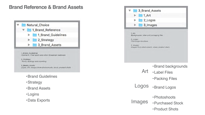### **Brand Reference & Brand Assets**



- •Brand Guidelines
- •Strategy
- •Brand Assets
- •Logins
- •Data Exports

|          | 3_Brand_Assets                         |
|----------|----------------------------------------|
|          | 1_Art                                  |
|          | 2_Logos                                |
|          | 3_Images                               |
|          |                                        |
|          |                                        |
| 1 Art    | Backgrounds, label and packaging files |
| 2 Logos: | Client logo iterations                 |

- •Brand backgrounds
- Art •Label Files
	- •Packing Files
- Logos •Brand Logos
	- •Photoshoots
- Images •Purchased Stock
	- •Product Shots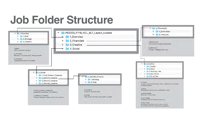

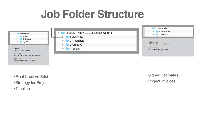

1\_Brief: Client supplied request

2\_Strategy: Research, strategy deck, testing results

3\_Timeline: exported timeline if available



- •Final Creative Brief
- •Strategy for Project
- •Timeline
- •Signed Estimates
- •Project Invoices

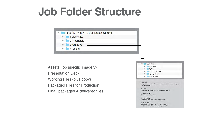- •Assets (job specific imagery)
- •Presentation Deck
- •Working Files (plus copy)
- •Packaged Files for Production
- 

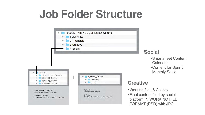

### **Social**

### **Creative**

- •Smartsheet Content **Calendar**
- •Content for Sprint/ Monthly Social

- •Working files & Assets
- •Final content filed by social platform IN WORKING FILE FORMAT (PSD) with JPG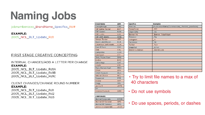# **Naming Jobs**

jobnumberxxxx\_BrandName\_Specifics\_Rd#

**EXAMPLE:** 2005\_NCL\_BLT\_Update\_Rd1

### FIRST STAGE CREATIVE CONCEPTING

INTERNAL CHANGES/ADD A LETTER PER CHANGE **EXAMPLE:** 

2005\_NCL\_BLT\_Update\_Rd1A 2005\_NCL\_BLT\_Update\_Rd1B 2005\_NCL\_BLT\_Update\_Rd1C

CLIENT CHANGES/CHANGE ROUND NUMBER **EXAMPLE:** 

2005\_NCL\_BLT\_Update\_Rd1 2005\_NCL\_BLT\_Update\_Rd2 2005\_NCL\_BLT\_Update\_Rd3

| <b>Brand Name</b>            | ABV.       |
|------------------------------|------------|
| CaringBridge                 | CBG        |
| <b>BF Butter Kernel</b>      | BUT        |
| <b>BF Kuners</b>             | KUN        |
| <b>BF Lucks</b>              | LUK        |
| BF S&W Beans                 | SWB        |
| Always Tender                | ATP        |
| 3lack Label Bacon            | BLB        |
| Columbus Craft Meats         | <b>CCM</b> |
| Cure 81 Ham                  | <b>CEH</b> |
| Chili                        | <b>CHL</b> |
| Completes                    | COM        |
| CytoSport                    | CYT        |
| Dinty Moore Stew             | DMS        |
| Evolve                       | EVO        |
| Gatherings                   | GAT        |
| .loyds                       | LYD.       |
| Mary Kitchen Hash            | MKH        |
| <b>SPAM</b>                  | SPM        |
| SPAM Museum                  | MUS        |
| Vatural Choice               | NCL        |
| Pepperoni                    | <b>PPR</b> |
| <b>Skippy</b>                | SKP        |
| itagg                        | STG        |
| Jennie O                     | JOTS       |
| šМ                           |            |
| Science Museum               | <b>SMM</b> |
|                              |            |
| <b>CORPORATE:</b>            |            |
| <del>l</del> ormel Corporate | HCOR       |
| Iormel GP General            | GPG        |
| Iormel MP General            | MPG        |
| Jennie O Corportate.         | JCOR       |

| <b>Specifics</b>        | <b>Examples</b>                                  |
|-------------------------|--------------------------------------------------|
| Print Ad                | [PublicationName/Commonsize]_PrintAd_[sizeXsize} |
| PowerPoint              | <b>PPT</b>                                       |
| Client Gifts            | CG                                               |
| Banner Ad               | Banner_[sizeXsize}                               |
| Pinterest               | Pin                                              |
| Instagram               | _IG                                              |
| Facebook                | FB                                               |
| Twitter                 | Twtr                                             |
| Snapchat                | SChat                                            |
| <b>Brand Guidelines</b> | <b>BrandGuide</b>                                |
|                         |                                                  |
|                         |                                                  |
|                         |                                                  |
|                         |                                                  |
|                         |                                                  |
|                         |                                                  |
|                         |                                                  |
|                         |                                                  |

- Try to limit file names to a max of 40 characters
- Do not use symbols
- Do use spaces, periods, or dashes



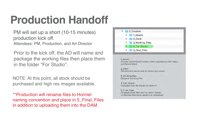# **Production Handoff**

PM will set up a short (10-15 minutes) production kick off. Attendees: PM, Production, and Art Director

Prior to the kick off, the AD will name and package the working files then place them in the folder "For Studio".

NOTE: At this point, all stock should be purchased and high res images available.

\*\*Production will rename files to Hormel naming convention and place in 5\_Final\_Files in addition to uploading them into the DAM.



1\_Assets: images, mood-board scraps, client supplied partner logos, purchased stock

2\_Deck: Presentation decks sent to clients per round

3\_Working files: Designer working files

4 For Studio: Packaged files for Studio to work on

5\_Final\_Files: Packaged final files sent to client, vendor or finished files from vendors ie; unleashed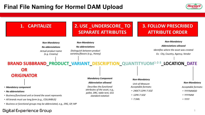### **Final File Naming for Hormel DAM Upload**



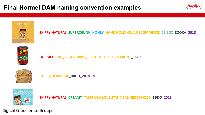### **Final Hormel DAM naming convention examples**





Digital Experience Group